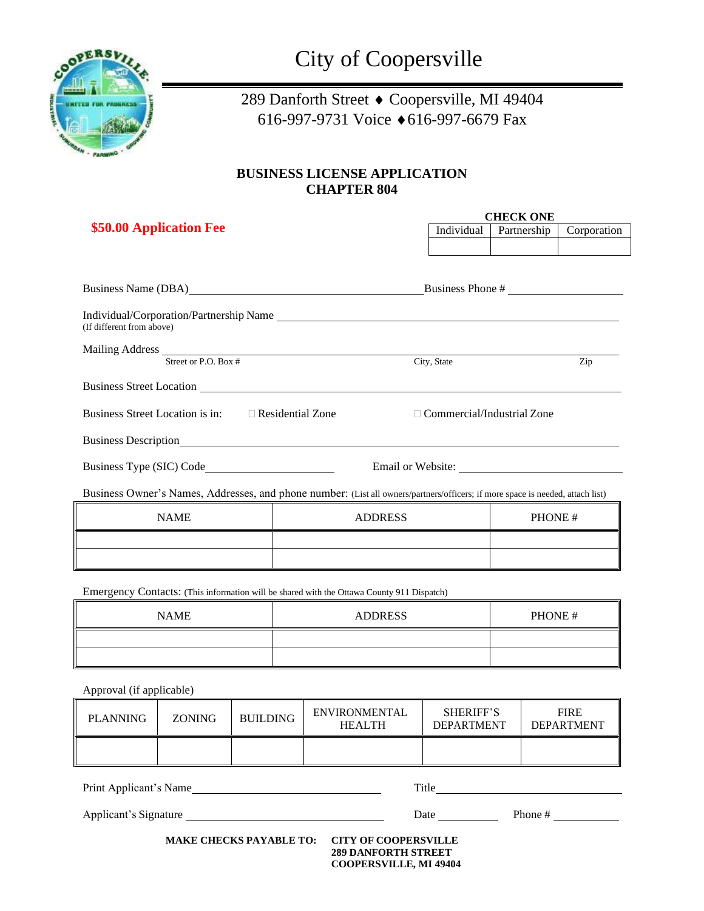

## 289 Danforth Street  $\bullet$  Coopersville, MI 49404 616-997-9731 Voice 616-997-6679 Fax

## **BUSINESS LICENSE APPLICATION CHAPTER 804**

| \$50.00 Application Fee                                                                                                                                                                                                       |                                         | <b>CHECK ONE</b> |                                                                                                                                                                                                                                |             |  |  |
|-------------------------------------------------------------------------------------------------------------------------------------------------------------------------------------------------------------------------------|-----------------------------------------|------------------|--------------------------------------------------------------------------------------------------------------------------------------------------------------------------------------------------------------------------------|-------------|--|--|
|                                                                                                                                                                                                                               |                                         | Individual       | Partnership                                                                                                                                                                                                                    | Corporation |  |  |
|                                                                                                                                                                                                                               |                                         |                  |                                                                                                                                                                                                                                |             |  |  |
|                                                                                                                                                                                                                               |                                         |                  |                                                                                                                                                                                                                                |             |  |  |
|                                                                                                                                                                                                                               | Business Phone #<br>Business Name (DBA) |                  |                                                                                                                                                                                                                                |             |  |  |
| (If different from above)                                                                                                                                                                                                     |                                         |                  |                                                                                                                                                                                                                                |             |  |  |
|                                                                                                                                                                                                                               |                                         |                  |                                                                                                                                                                                                                                |             |  |  |
| Mailing Address Street or P.O. Box #                                                                                                                                                                                          |                                         | City, State      |                                                                                                                                                                                                                                | Zip         |  |  |
|                                                                                                                                                                                                                               |                                         |                  |                                                                                                                                                                                                                                |             |  |  |
| Business Street Location is in: $\Box$ Residential Zone<br>$\Box$ Commercial/Industrial Zone                                                                                                                                  |                                         |                  |                                                                                                                                                                                                                                |             |  |  |
| Business Description New York Contract to the Contract of the Contract of the Contract of the Contract of the Contract of the Contract of the Contract of the Contract of the Contract of the Contract of the Contract of the |                                         |                  |                                                                                                                                                                                                                                |             |  |  |
| Business Type (SIC) Code                                                                                                                                                                                                      |                                         |                  | Email or Website: University of the Second Second Second Second Second Second Second Second Second Second Second Second Second Second Second Second Second Second Second Second Second Second Second Second Second Second Seco |             |  |  |
| Business Owner's Names, Addresses, and phone number: (List all owners/partners/officers; if more space is needed, attach list)                                                                                                |                                         |                  |                                                                                                                                                                                                                                |             |  |  |
| <b>NAME</b>                                                                                                                                                                                                                   | <b>ADDRESS</b>                          |                  | PHONE#                                                                                                                                                                                                                         |             |  |  |
| the contract of the contract of the contract of the contract of the contract of                                                                                                                                               |                                         |                  |                                                                                                                                                                                                                                |             |  |  |
|                                                                                                                                                                                                                               |                                         |                  |                                                                                                                                                                                                                                |             |  |  |
| Emergency Contacts: (This information will be shared with the Ottawa County 911 Dispatch)                                                                                                                                     |                                         |                  |                                                                                                                                                                                                                                |             |  |  |
| <b>NAME</b>                                                                                                                                                                                                                   | <b>ADDRESS</b>                          |                  | PHONE#                                                                                                                                                                                                                         |             |  |  |
|                                                                                                                                                                                                                               |                                         |                  |                                                                                                                                                                                                                                |             |  |  |

Approval (if applicable)

| <b>PLANNING</b>                                                                                                              | <b>ZONING</b> | <b>BUILDING</b> | <b>ENVIRONMENTAL</b><br><b>HEALTH</b> | <b>SHERIFF'S</b><br><b>DEPARTMENT</b>                                                                                                                                                                                                            | <b>FIRE</b><br><b>DEPARTMENT</b> |
|------------------------------------------------------------------------------------------------------------------------------|---------------|-----------------|---------------------------------------|--------------------------------------------------------------------------------------------------------------------------------------------------------------------------------------------------------------------------------------------------|----------------------------------|
|                                                                                                                              |               |                 |                                       |                                                                                                                                                                                                                                                  |                                  |
| Print Applicant's Name                                                                                                       |               |                 |                                       |                                                                                                                                                                                                                                                  |                                  |
| Applicant's Signature                                                                                                        |               |                 |                                       | Phone $#$<br><b>Date</b> and the same of the same of the same of the same of the same of the same of the same of the same of the same of the same of the same of the same of the same of the same of the same of the same of the same of the sam |                                  |
| <b>MAKE CHECKS PAYABLE TO:</b><br><b>CITY OF COOPERSVILLE</b><br><b>289 DANFORTH STREET</b><br><b>COOPERSVILLE, MI 49404</b> |               |                 |                                       |                                                                                                                                                                                                                                                  |                                  |